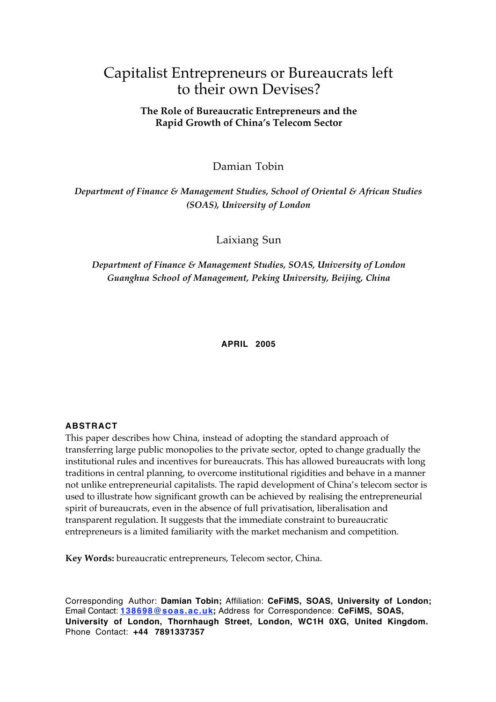# Capitalist Entrepreneurs or Bureaucrats left to their own Devises?

# **The Role of Bureaucratic Entrepreneurs and the Rapid Growth of China's Telecom Sector**

Damian Tobin

*Department of Finance & Management Studies, School of Oriental & African Studies (SOAS), University of London*

Laixiang Sun

*Department of Finance & Management Studies, SOAS, University of London Guanghua School of Management, Peking University, Beijing, China*

**APRIL 2005**

### **ABSTRACT**

This paper describes how China, instead of adopting the standard approach of transferring large public monopolies to the private sector, opted to change gradually the institutional rules and incentives for bureaucrats. This has allowed bureaucrats with long traditions in central planning, to overcome institutional rigidities and behave in a manner not unlike entrepreneurial capitalists. The rapid development of China's telecom sector is used to illustrate how significant growth can be achieved by realising the entrepreneurial spirit of bureaucrats, even in the absence of full privatisation, liberalisation and transparent regulation. It suggests that the immediate constraint to bureaucratic entrepreneurs is a limited familiarity with the market mechanism and competition.

**Key Words:** bureaucratic entrepreneurs, Telecom sector, China.

Corresponding Author: **Damian Tobin;** Affiliation: **CeFiMS, SOAS, University of London;** Email Contact: **138698@soas.ac.uk;** Address for Correspondence: **CeFiMS, SOAS, University of London, Thornhaugh Street, London, WC1H 0XG, United Kingdom.** Phone Contact: **+44 7891337357**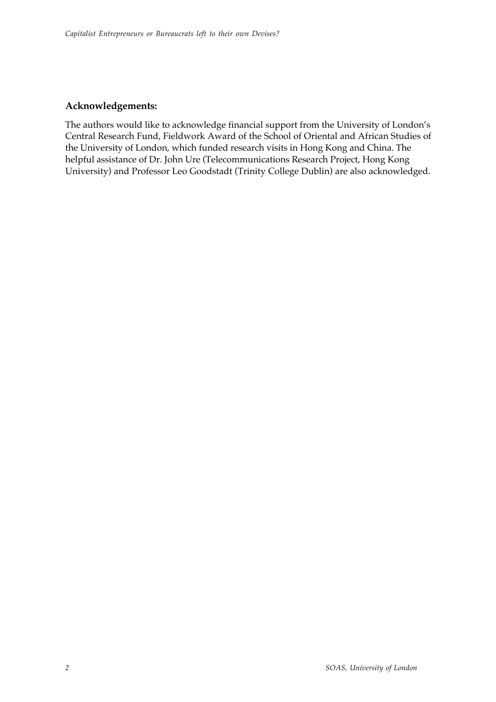# **Acknowledgements:**

The authors would like to acknowledge financial support from the University of London's Central Research Fund, Fieldwork Award of the School of Oriental and African Studies of the University of London, which funded research visits in Hong Kong and China. The helpful assistance of Dr. John Ure (Telecommunications Research Project, Hong Kong University) and Professor Leo Goodstadt (Trinity College Dublin) are also acknowledged.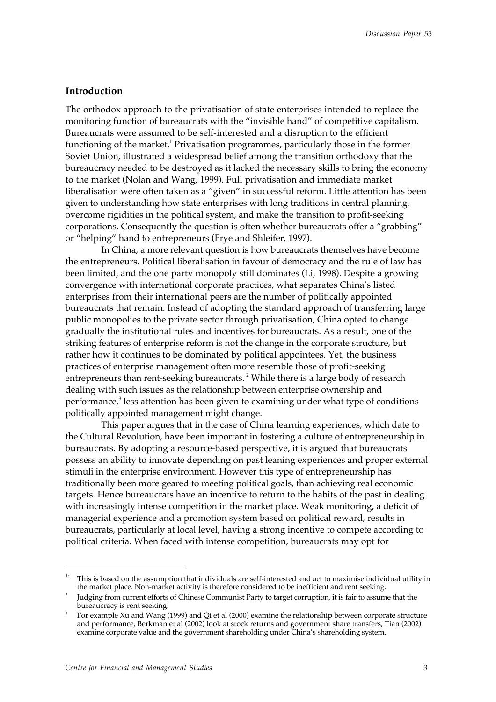### **Introduction**

The orthodox approach to the privatisation of state enterprises intended to replace the monitoring function of bureaucrats with the "invisible hand" of competitive capitalism. Bureaucrats were assumed to be self-interested and a disruption to the efficient functioning of the market. $^1$  Privatisation programmes, particularly those in the former Soviet Union, illustrated a widespread belief among the transition orthodoxy that the bureaucracy needed to be destroyed as it lacked the necessary skills to bring the economy to the market (Nolan and Wang, 1999). Full privatisation and immediate market liberalisation were often taken as a "given" in successful reform. Little attention has been given to understanding how state enterprises with long traditions in central planning, overcome rigidities in the political system, and make the transition to profit-seeking corporations. Consequently the question is often whether bureaucrats offer a "grabbing" or "helping" hand to entrepreneurs (Frye and Shleifer, 1997).

In China, a more relevant question is how bureaucrats themselves have become the entrepreneurs. Political liberalisation in favour of democracy and the rule of law has been limited, and the one party monopoly still dominates (Li, 1998). Despite a growing convergence with international corporate practices, what separates China's listed enterprises from their international peers are the number of politically appointed bureaucrats that remain. Instead of adopting the standard approach of transferring large public monopolies to the private sector through privatisation, China opted to change gradually the institutional rules and incentives for bureaucrats. As a result, one of the striking features of enterprise reform is not the change in the corporate structure, but rather how it continues to be dominated by political appointees. Yet, the business practices of enterprise management often more resemble those of profit-seeking entrepreneurs than rent-seeking bureaucrats.<sup>2</sup> While there is a large body of research dealing with such issues as the relationship between enterprise ownership and performance,<sup>3</sup> less attention has been given to examining under what type of conditions politically appointed management might change.

This paper argues that in the case of China learning experiences, which date to the Cultural Revolution, have been important in fostering a culture of entrepreneurship in bureaucrats. By adopting a resource-based perspective, it is argued that bureaucrats possess an ability to innovate depending on past leaning experiences and proper external stimuli in the enterprise environment. However this type of entrepreneurship has traditionally been more geared to meeting political goals, than achieving real economic targets. Hence bureaucrats have an incentive to return to the habits of the past in dealing with increasingly intense competition in the market place. Weak monitoring, a deficit of managerial experience and a promotion system based on political reward, results in bureaucrats, particularly at local level, having a strong incentive to compete according to political criteria. When faced with intense competition, bureaucrats may opt for

 $\frac{1}{11}$  This is based on the assumption that individuals are self-interested and act to maximise individual utility in the market place. Non-market activity is therefore considered to be inefficient and rent seeking.

<sup>2</sup> Judging from current efforts of Chinese Communist Party to target corruption, it is fair to assume that the bureaucracy is rent seeking.

<sup>3</sup> For example Xu and Wang (1999) and Qi et al (2000) examine the relationship between corporate structure and performance, Berkman et al (2002) look at stock returns and government share transfers, Tian (2002) examine corporate value and the government shareholding under China's shareholding system.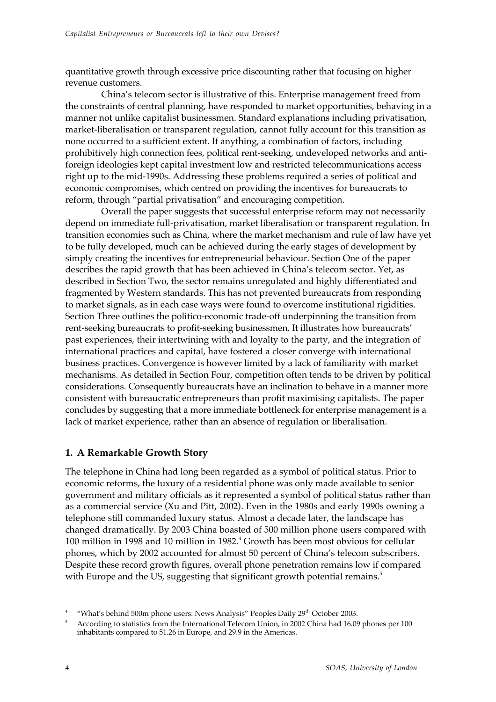quantitative growth through excessive price discounting rather that focusing on higher revenue customers.

China's telecom sector is illustrative of this. Enterprise management freed from the constraints of central planning, have responded to market opportunities, behaving in a manner not unlike capitalist businessmen. Standard explanations including privatisation, market-liberalisation or transparent regulation, cannot fully account for this transition as none occurred to a sufficient extent. If anything, a combination of factors, including prohibitively high connection fees, political rent-seeking, undeveloped networks and antiforeign ideologies kept capital investment low and restricted telecommunications access right up to the mid-1990s. Addressing these problems required a series of political and economic compromises, which centred on providing the incentives for bureaucrats to reform, through "partial privatisation" and encouraging competition.

Overall the paper suggests that successful enterprise reform may not necessarily depend on immediate full-privatisation, market liberalisation or transparent regulation. In transition economies such as China, where the market mechanism and rule of law have yet to be fully developed, much can be achieved during the early stages of development by simply creating the incentives for entrepreneurial behaviour. Section One of the paper describes the rapid growth that has been achieved in China's telecom sector. Yet, as described in Section Two, the sector remains unregulated and highly differentiated and fragmented by Western standards. This has not prevented bureaucrats from responding to market signals, as in each case ways were found to overcome institutional rigidities. Section Three outlines the politico-economic trade-off underpinning the transition from rent-seeking bureaucrats to profit-seeking businessmen. It illustrates how bureaucrats' past experiences, their intertwining with and loyalty to the party, and the integration of international practices and capital, have fostered a closer converge with international business practices. Convergence is however limited by a lack of familiarity with market mechanisms. As detailed in Section Four, competition often tends to be driven by political considerations. Consequently bureaucrats have an inclination to behave in a manner more consistent with bureaucratic entrepreneurs than profit maximising capitalists. The paper concludes by suggesting that a more immediate bottleneck for enterprise management is a lack of market experience, rather than an absence of regulation or liberalisation.

# **1. A Remarkable Growth Story**

The telephone in China had long been regarded as a symbol of political status. Prior to economic reforms, the luxury of a residential phone was only made available to senior government and military officials as it represented a symbol of political status rather than as a commercial service (Xu and Pitt, 2002). Even in the 1980s and early 1990s owning a telephone still commanded luxury status. Almost a decade later, the landscape has changed dramatically. By 2003 China boasted of 500 million phone users compared with 100 million in 1998 and 10 million in 1982.<sup>4</sup> Growth has been most obvious for cellular phones, which by 2002 accounted for almost 50 percent of China's telecom subscribers. Despite these record growth figures, overall phone penetration remains low if compared with Europe and the US, suggesting that significant growth potential remains.<sup>5</sup>

 $\overline{a}$ 4 "What's behind 500m phone users: News Analysis" Peoples Daily 29<sup>th</sup> October 2003.

<sup>5</sup> According to statistics from the International Telecom Union, in 2002 China had 16.09 phones per 100 inhabitants compared to 51.26 in Europe, and 29.9 in the Americas.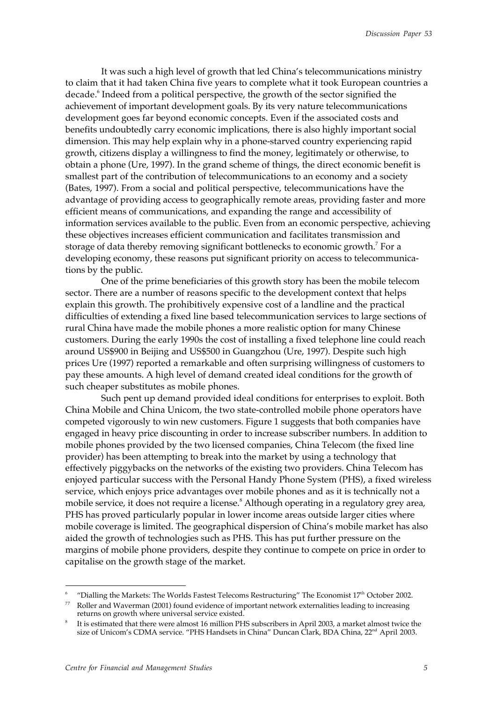It was such a high level of growth that led China's telecommunications ministry to claim that it had taken China five years to complete what it took European countries a decade.<sup>6</sup> Indeed from a political perspective, the growth of the sector signified the achievement of important development goals. By its very nature telecommunications development goes far beyond economic concepts. Even if the associated costs and benefits undoubtedly carry economic implications, there is also highly important social dimension. This may help explain why in a phone-starved country experiencing rapid growth, citizens display a willingness to find the money, legitimately or otherwise, to obtain a phone (Ure, 1997). In the grand scheme of things, the direct economic benefit is smallest part of the contribution of telecommunications to an economy and a society (Bates, 1997). From a social and political perspective, telecommunications have the advantage of providing access to geographically remote areas, providing faster and more efficient means of communications, and expanding the range and accessibility of information services available to the public. Even from an economic perspective, achieving these objectives increases efficient communication and facilitates transmission and storage of data thereby removing significant bottlenecks to economic growth.<sup>7</sup> For a developing economy, these reasons put significant priority on access to telecommunications by the public.

One of the prime beneficiaries of this growth story has been the mobile telecom sector. There are a number of reasons specific to the development context that helps explain this growth. The prohibitively expensive cost of a landline and the practical difficulties of extending a fixed line based telecommunication services to large sections of rural China have made the mobile phones a more realistic option for many Chinese customers. During the early 1990s the cost of installing a fixed telephone line could reach around US\$900 in Beijing and US\$500 in Guangzhou (Ure, 1997). Despite such high prices Ure (1997) reported a remarkable and often surprising willingness of customers to pay these amounts. A high level of demand created ideal conditions for the growth of such cheaper substitutes as mobile phones.

Such pent up demand provided ideal conditions for enterprises to exploit. Both China Mobile and China Unicom, the two state-controlled mobile phone operators have competed vigorously to win new customers. Figure 1 suggests that both companies have engaged in heavy price discounting in order to increase subscriber numbers. In addition to mobile phones provided by the two licensed companies, China Telecom (the fixed line provider) has been attempting to break into the market by using a technology that effectively piggybacks on the networks of the existing two providers. China Telecom has enjoyed particular success with the Personal Handy Phone System (PHS), a fixed wireless service, which enjoys price advantages over mobile phones and as it is technically not a mobile service, it does not require a license.<sup>8</sup> Although operating in a regulatory grey area, PHS has proved particularly popular in lower income areas outside larger cities where mobile coverage is limited. The geographical dispersion of China's mobile market has also aided the growth of technologies such as PHS. This has put further pressure on the margins of mobile phone providers, despite they continue to compete on price in order to capitalise on the growth stage of the market.

<sup>6</sup> "Dialling the Markets: The Worlds Fastest Telecoms Restructuring" The Economist  $17<sup>th</sup>$  October 2002.

<sup>77</sup> Roller and Waverman (2001) found evidence of important network externalities leading to increasing returns on growth where universal service existed.

<sup>8</sup> It is estimated that there were almost 16 million PHS subscribers in April 2003, a market almost twice the size of Unicom's CDMA service. "PHS Handsets in China" Duncan Clark, BDA China, 22<sup>nd</sup> April 2003.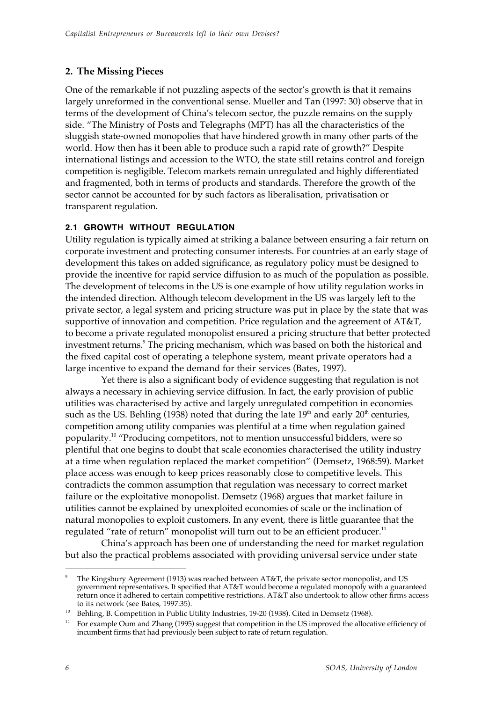# **2. The Missing Pieces**

One of the remarkable if not puzzling aspects of the sector's growth is that it remains largely unreformed in the conventional sense. Mueller and Tan (1997: 30) observe that in terms of the development of China's telecom sector, the puzzle remains on the supply side. "The Ministry of Posts and Telegraphs (MPT) has all the characteristics of the sluggish state-owned monopolies that have hindered growth in many other parts of the world. How then has it been able to produce such a rapid rate of growth?" Despite international listings and accession to the WTO, the state still retains control and foreign competition is negligible. Telecom markets remain unregulated and highly differentiated and fragmented, both in terms of products and standards. Therefore the growth of the sector cannot be accounted for by such factors as liberalisation, privatisation or transparent regulation.

### **2.1 GROWTH WITHOUT REGULATION**

Utility regulation is typically aimed at striking a balance between ensuring a fair return on corporate investment and protecting consumer interests. For countries at an early stage of development this takes on added significance, as regulatory policy must be designed to provide the incentive for rapid service diffusion to as much of the population as possible. The development of telecoms in the US is one example of how utility regulation works in the intended direction. Although telecom development in the US was largely left to the private sector, a legal system and pricing structure was put in place by the state that was supportive of innovation and competition. Price regulation and the agreement of AT&T, to become a private regulated monopolist ensured a pricing structure that better protected investment returns.<sup>9</sup> The pricing mechanism, which was based on both the historical and the fixed capital cost of operating a telephone system, meant private operators had a large incentive to expand the demand for their services (Bates, 1997).

Yet there is also a significant body of evidence suggesting that regulation is not always a necessary in achieving service diffusion. In fact, the early provision of public utilities was characterised by active and largely unregulated competition in economies such as the US. Behling (1938) noted that during the late  $19<sup>th</sup>$  and early  $20<sup>th</sup>$  centuries, competition among utility companies was plentiful at a time when regulation gained popularity.10 "Producing competitors, not to mention unsuccessful bidders, were so plentiful that one begins to doubt that scale economies characterised the utility industry at a time when regulation replaced the market competition" (Demsetz, 1968:59). Market place access was enough to keep prices reasonably close to competitive levels. This contradicts the common assumption that regulation was necessary to correct market failure or the exploitative monopolist. Demsetz (1968) argues that market failure in utilities cannot be explained by unexploited economies of scale or the inclination of natural monopolies to exploit customers. In any event, there is little guarantee that the regulated "rate of return" monopolist will turn out to be an efficient producer.<sup>11</sup>

China's approach has been one of understanding the need for market regulation but also the practical problems associated with providing universal service under state

<sup>9</sup> The Kingsbury Agreement (1913) was reached between AT&T, the private sector monopolist, and US government representatives. It specified that AT&T would become a regulated monopoly with a guaranteed return once it adhered to certain competitive restrictions. AT&T also undertook to allow other firms access to its network (see Bates, 1997:35).

Behling, B. Competition in Public Utility Industries, 19-20 (1938). Cited in Demsetz (1968).

<sup>&</sup>lt;sup>11</sup> For example Oum and Zhang (1995) suggest that competition in the US improved the allocative efficiency of incumbent firms that had previously been subject to rate of return regulation.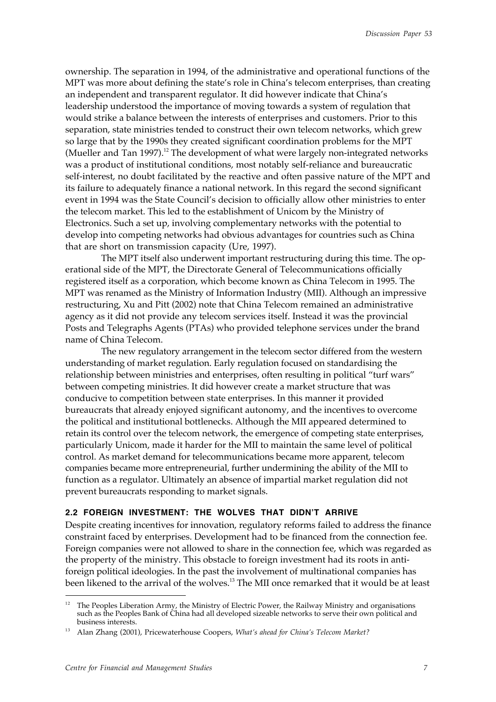ownership. The separation in 1994, of the administrative and operational functions of the MPT was more about defining the state's role in China's telecom enterprises, than creating an independent and transparent regulator. It did however indicate that China's leadership understood the importance of moving towards a system of regulation that would strike a balance between the interests of enterprises and customers. Prior to this separation, state ministries tended to construct their own telecom networks, which grew so large that by the 1990s they created significant coordination problems for the MPT (Mueller and Tan  $1997$ ).<sup>12</sup> The development of what were largely non-integrated networks was a product of institutional conditions, most notably self-reliance and bureaucratic self-interest, no doubt facilitated by the reactive and often passive nature of the MPT and its failure to adequately finance a national network. In this regard the second significant event in 1994 was the State Council's decision to officially allow other ministries to enter the telecom market. This led to the establishment of Unicom by the Ministry of Electronics. Such a set up, involving complementary networks with the potential to develop into competing networks had obvious advantages for countries such as China that are short on transmission capacity (Ure, 1997).

The MPT itself also underwent important restructuring during this time. The operational side of the MPT, the Directorate General of Telecommunications officially registered itself as a corporation, which become known as China Telecom in 1995. The MPT was renamed as the Ministry of Information Industry (MII). Although an impressive restructuring, Xu and Pitt (2002) note that China Telecom remained an administrative agency as it did not provide any telecom services itself. Instead it was the provincial Posts and Telegraphs Agents (PTAs) who provided telephone services under the brand name of China Telecom.

The new regulatory arrangement in the telecom sector differed from the western understanding of market regulation. Early regulation focused on standardising the relationship between ministries and enterprises, often resulting in political "turf wars" between competing ministries. It did however create a market structure that was conducive to competition between state enterprises. In this manner it provided bureaucrats that already enjoyed significant autonomy, and the incentives to overcome the political and institutional bottlenecks. Although the MII appeared determined to retain its control over the telecom network, the emergence of competing state enterprises, particularly Unicom, made it harder for the MII to maintain the same level of political control. As market demand for telecommunications became more apparent, telecom companies became more entrepreneurial, further undermining the ability of the MII to function as a regulator. Ultimately an absence of impartial market regulation did not prevent bureaucrats responding to market signals.

### **2.2 FOREIGN INVESTMENT: THE WOLVES THAT DIDN'T ARRIVE**

Despite creating incentives for innovation, regulatory reforms failed to address the finance constraint faced by enterprises. Development had to be financed from the connection fee. Foreign companies were not allowed to share in the connection fee, which was regarded as the property of the ministry. This obstacle to foreign investment had its roots in antiforeign political ideologies. In the past the involvement of multinational companies has been likened to the arrival of the wolves.<sup>13</sup> The MII once remarked that it would be at least

The Peoples Liberation Army, the Ministry of Electric Power, the Railway Ministry and organisations such as the Peoples Bank of China had all developed sizeable networks to serve their own political and business interests.

<sup>13</sup> Alan Zhang (2001), Pricewaterhouse Coopers, *What's ahead for China's Telecom Market?*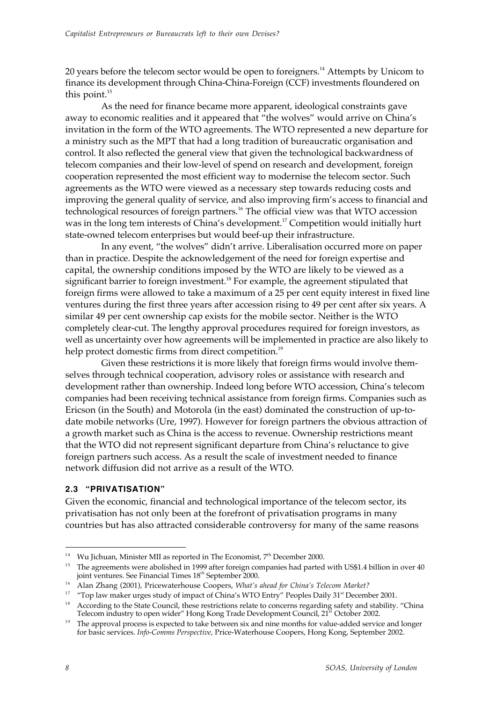20 years before the telecom sector would be open to foreigners.<sup>14</sup> Attempts by Unicom to finance its development through China-China-Foreign (CCF) investments floundered on this point. $^{15}$ 

As the need for finance became more apparent, ideological constraints gave away to economic realities and it appeared that "the wolves" would arrive on China's invitation in the form of the WTO agreements. The WTO represented a new departure for a ministry such as the MPT that had a long tradition of bureaucratic organisation and control. It also reflected the general view that given the technological backwardness of telecom companies and their low-level of spend on research and development, foreign cooperation represented the most efficient way to modernise the telecom sector. Such agreements as the WTO were viewed as a necessary step towards reducing costs and improving the general quality of service, and also improving firm's access to financial and technological resources of foreign partners.<sup>16</sup> The official view was that WTO accession was in the long tem interests of China's development.<sup>17</sup> Competition would initially hurt state-owned telecom enterprises but would beef-up their infrastructure.

In any event, "the wolves" didn't arrive. Liberalisation occurred more on paper than in practice. Despite the acknowledgement of the need for foreign expertise and capital, the ownership conditions imposed by the WTO are likely to be viewed as a significant barrier to foreign investment.<sup>18</sup> For example, the agreement stipulated that foreign firms were allowed to take a maximum of a 25 per cent equity interest in fixed line ventures during the first three years after accession rising to 49 per cent after six years. A similar 49 per cent ownership cap exists for the mobile sector. Neither is the WTO completely clear-cut. The lengthy approval procedures required for foreign investors, as well as uncertainty over how agreements will be implemented in practice are also likely to help protect domestic firms from direct competition.<sup>19</sup>

Given these restrictions it is more likely that foreign firms would involve themselves through technical cooperation, advisory roles or assistance with research and development rather than ownership. Indeed long before WTO accession, China's telecom companies had been receiving technical assistance from foreign firms. Companies such as Ericson (in the South) and Motorola (in the east) dominated the construction of up-todate mobile networks (Ure, 1997). However for foreign partners the obvious attraction of a growth market such as China is the access to revenue. Ownership restrictions meant that the WTO did not represent significant departure from China's reluctance to give foreign partners such access. As a result the scale of investment needed to finance network diffusion did not arrive as a result of the WTO.

### **2.3 "PRIVATISATION"**

Given the economic, financial and technological importance of the telecom sector, its privatisation has not only been at the forefront of privatisation programs in many countries but has also attracted considerable controversy for many of the same reasons

<sup>&</sup>lt;sup>14</sup> Wu Jichuan, Minister MII as reported in The Economist,  $7<sup>th</sup>$  December 2000.

<sup>&</sup>lt;sup>15</sup> The agreements were abolished in 1999 after foreign companies had parted with US\$1.4 billion in over 40 joint ventures. See Financial Times 18<sup>th</sup> September 2000.

<sup>16</sup> Alan Zhang (2001), Pricewaterhouse Coopers, *What's ahead for China's Telecom Market?*

<sup>&</sup>lt;sup>17</sup> "Top law maker urges study of impact of China's WTO Entry" Peoples Daily 31<sup>st</sup> December 2001.

 $18$  According to the State Council, these restrictions relate to concerns regarding safety and stability. "China Telecom industry to open wider" Hong Kong Trade Development Council, 21<sup>st</sup> October 2002.

The approval process is expected to take between six and nine months for value-added service and longer for basic services. *Info-Comms Perspective*, Price-Waterhouse Coopers, Hong Kong, September 2002.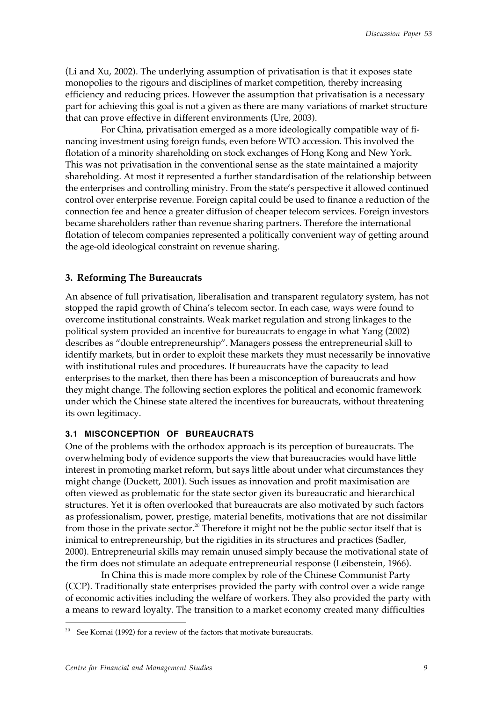(Li and Xu, 2002). The underlying assumption of privatisation is that it exposes state monopolies to the rigours and disciplines of market competition, thereby increasing efficiency and reducing prices. However the assumption that privatisation is a necessary part for achieving this goal is not a given as there are many variations of market structure that can prove effective in different environments (Ure, 2003).

For China, privatisation emerged as a more ideologically compatible way of financing investment using foreign funds, even before WTO accession. This involved the flotation of a minority shareholding on stock exchanges of Hong Kong and New York. This was not privatisation in the conventional sense as the state maintained a majority shareholding. At most it represented a further standardisation of the relationship between the enterprises and controlling ministry. From the state's perspective it allowed continued control over enterprise revenue. Foreign capital could be used to finance a reduction of the connection fee and hence a greater diffusion of cheaper telecom services. Foreign investors became shareholders rather than revenue sharing partners. Therefore the international flotation of telecom companies represented a politically convenient way of getting around the age-old ideological constraint on revenue sharing.

### **3. Reforming The Bureaucrats**

An absence of full privatisation, liberalisation and transparent regulatory system, has not stopped the rapid growth of China's telecom sector. In each case, ways were found to overcome institutional constraints. Weak market regulation and strong linkages to the political system provided an incentive for bureaucrats to engage in what Yang (2002) describes as "double entrepreneurship". Managers possess the entrepreneurial skill to identify markets, but in order to exploit these markets they must necessarily be innovative with institutional rules and procedures. If bureaucrats have the capacity to lead enterprises to the market, then there has been a misconception of bureaucrats and how they might change. The following section explores the political and economic framework under which the Chinese state altered the incentives for bureaucrats, without threatening its own legitimacy.

# **3.1 MISCONCEPTION OF BUREAUCRATS**

One of the problems with the orthodox approach is its perception of bureaucrats. The overwhelming body of evidence supports the view that bureaucracies would have little interest in promoting market reform, but says little about under what circumstances they might change (Duckett, 2001). Such issues as innovation and profit maximisation are often viewed as problematic for the state sector given its bureaucratic and hierarchical structures. Yet it is often overlooked that bureaucrats are also motivated by such factors as professionalism, power, prestige, material benefits, motivations that are not dissimilar from those in the private sector.20 Therefore it might not be the public sector itself that is inimical to entrepreneurship, but the rigidities in its structures and practices (Sadler, 2000). Entrepreneurial skills may remain unused simply because the motivational state of the firm does not stimulate an adequate entrepreneurial response (Leibenstein, 1966).

In China this is made more complex by role of the Chinese Communist Party (CCP). Traditionally state enterprises provided the party with control over a wide range of economic activities including the welfare of workers. They also provided the party with a means to reward loyalty. The transition to a market economy created many difficulties

<sup>&</sup>lt;sup>20</sup> See Kornai (1992) for a review of the factors that motivate bureaucrats.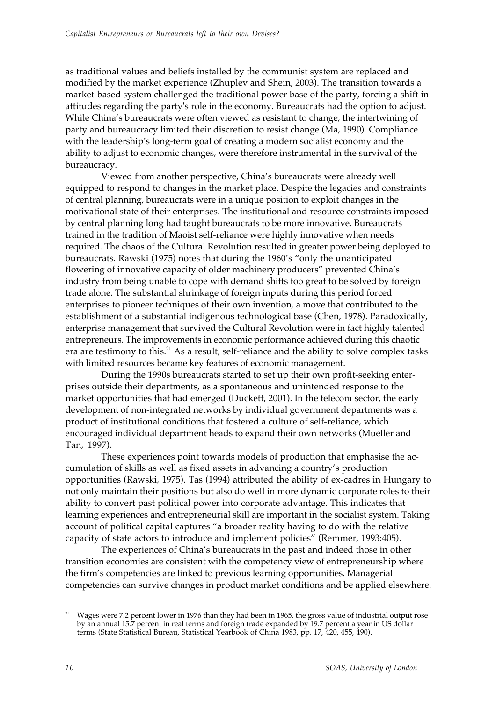as traditional values and beliefs installed by the communist system are replaced and modified by the market experience (Zhuplev and Shein, 2003). The transition towards a market-based system challenged the traditional power base of the party, forcing a shift in attitudes regarding the party's role in the economy. Bureaucrats had the option to adjust. While China's bureaucrats were often viewed as resistant to change, the intertwining of party and bureaucracy limited their discretion to resist change (Ma, 1990). Compliance with the leadership's long-term goal of creating a modern socialist economy and the ability to adjust to economic changes, were therefore instrumental in the survival of the bureaucracy.

Viewed from another perspective, China's bureaucrats were already well equipped to respond to changes in the market place. Despite the legacies and constraints of central planning, bureaucrats were in a unique position to exploit changes in the motivational state of their enterprises. The institutional and resource constraints imposed by central planning long had taught bureaucrats to be more innovative. Bureaucrats trained in the tradition of Maoist self-reliance were highly innovative when needs required. The chaos of the Cultural Revolution resulted in greater power being deployed to bureaucrats. Rawski (1975) notes that during the 1960's "only the unanticipated flowering of innovative capacity of older machinery producers" prevented China's industry from being unable to cope with demand shifts too great to be solved by foreign trade alone. The substantial shrinkage of foreign inputs during this period forced enterprises to pioneer techniques of their own invention, a move that contributed to the establishment of a substantial indigenous technological base (Chen, 1978). Paradoxically, enterprise management that survived the Cultural Revolution were in fact highly talented entrepreneurs. The improvements in economic performance achieved during this chaotic era are testimony to this.<sup>21</sup> As a result, self-reliance and the ability to solve complex tasks with limited resources became key features of economic management.

During the 1990s bureaucrats started to set up their own profit-seeking enterprises outside their departments, as a spontaneous and unintended response to the market opportunities that had emerged (Duckett, 2001). In the telecom sector, the early development of non-integrated networks by individual government departments was a product of institutional conditions that fostered a culture of self-reliance, which encouraged individual department heads to expand their own networks (Mueller and Tan, 1997).

These experiences point towards models of production that emphasise the accumulation of skills as well as fixed assets in advancing a country's production opportunities (Rawski, 1975). Tas (1994) attributed the ability of ex-cadres in Hungary to not only maintain their positions but also do well in more dynamic corporate roles to their ability to convert past political power into corporate advantage. This indicates that learning experiences and entrepreneurial skill are important in the socialist system. Taking account of political capital captures "a broader reality having to do with the relative capacity of state actors to introduce and implement policies" (Remmer, 1993:405).

The experiences of China's bureaucrats in the past and indeed those in other transition economies are consistent with the competency view of entrepreneurship where the firm's competencies are linked to previous learning opportunities. Managerial competencies can survive changes in product market conditions and be applied elsewhere.

1

 $21$  Wages were 7.2 percent lower in 1976 than they had been in 1965, the gross value of industrial output rose by an annual 15.7 percent in real terms and foreign trade expanded by 19.7 percent a year in US dollar terms (State Statistical Bureau, Statistical Yearbook of China 1983, pp. 17, 420, 455, 490).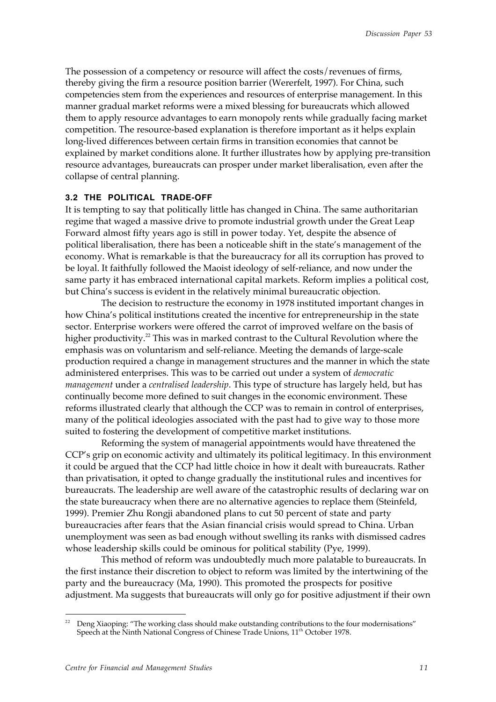The possession of a competency or resource will affect the costs/revenues of firms, thereby giving the firm a resource position barrier (Wererfelt, 1997). For China, such competencies stem from the experiences and resources of enterprise management. In this manner gradual market reforms were a mixed blessing for bureaucrats which allowed them to apply resource advantages to earn monopoly rents while gradually facing market competition. The resource-based explanation is therefore important as it helps explain long-lived differences between certain firms in transition economies that cannot be explained by market conditions alone. It further illustrates how by applying pre-transition resource advantages, bureaucrats can prosper under market liberalisation, even after the collapse of central planning.

### **3.2 THE POLITICAL TRADE-OFF**

It is tempting to say that politically little has changed in China. The same authoritarian regime that waged a massive drive to promote industrial growth under the Great Leap Forward almost fifty years ago is still in power today. Yet, despite the absence of political liberalisation, there has been a noticeable shift in the state's management of the economy. What is remarkable is that the bureaucracy for all its corruption has proved to be loyal. It faithfully followed the Maoist ideology of self-reliance, and now under the same party it has embraced international capital markets. Reform implies a political cost, but China's success is evident in the relatively minimal bureaucratic objection.

The decision to restructure the economy in 1978 instituted important changes in how China's political institutions created the incentive for entrepreneurship in the state sector. Enterprise workers were offered the carrot of improved welfare on the basis of higher productivity.<sup>22</sup> This was in marked contrast to the Cultural Revolution where the emphasis was on voluntarism and self-reliance. Meeting the demands of large-scale production required a change in management structures and the manner in which the state administered enterprises. This was to be carried out under a system of *democratic management* under a *centralised leadership*. This type of structure has largely held, but has continually become more defined to suit changes in the economic environment. These reforms illustrated clearly that although the CCP was to remain in control of enterprises, many of the political ideologies associated with the past had to give way to those more suited to fostering the development of competitive market institutions.

Reforming the system of managerial appointments would have threatened the CCP's grip on economic activity and ultimately its political legitimacy. In this environment it could be argued that the CCP had little choice in how it dealt with bureaucrats. Rather than privatisation, it opted to change gradually the institutional rules and incentives for bureaucrats. The leadership are well aware of the catastrophic results of declaring war on the state bureaucracy when there are no alternative agencies to replace them (Steinfeld, 1999). Premier Zhu Rongji abandoned plans to cut 50 percent of state and party bureaucracies after fears that the Asian financial crisis would spread to China. Urban unemployment was seen as bad enough without swelling its ranks with dismissed cadres whose leadership skills could be ominous for political stability (Pye, 1999).

This method of reform was undoubtedly much more palatable to bureaucrats. In the first instance their discretion to object to reform was limited by the intertwining of the party and the bureaucracy (Ma, 1990). This promoted the prospects for positive adjustment. Ma suggests that bureaucrats will only go for positive adjustment if their own

Deng Xiaoping: "The working class should make outstanding contributions to the four modernisations" Speech at the Ninth National Congress of Chinese Trade Unions, 11<sup>th</sup> October 1978.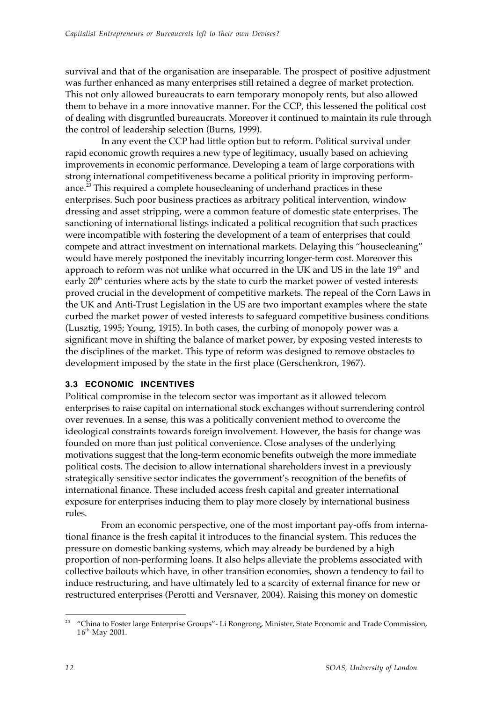survival and that of the organisation are inseparable. The prospect of positive adjustment was further enhanced as many enterprises still retained a degree of market protection. This not only allowed bureaucrats to earn temporary monopoly rents, but also allowed them to behave in a more innovative manner. For the CCP, this lessened the political cost of dealing with disgruntled bureaucrats. Moreover it continued to maintain its rule through the control of leadership selection (Burns, 1999).

In any event the CCP had little option but to reform. Political survival under rapid economic growth requires a new type of legitimacy, usually based on achieving improvements in economic performance. Developing a team of large corporations with strong international competitiveness became a political priority in improving performance.<sup>23</sup> This required a complete housecleaning of underhand practices in these enterprises. Such poor business practices as arbitrary political intervention, window dressing and asset stripping, were a common feature of domestic state enterprises. The sanctioning of international listings indicated a political recognition that such practices were incompatible with fostering the development of a team of enterprises that could compete and attract investment on international markets. Delaying this "housecleaning" would have merely postponed the inevitably incurring longer-term cost. Moreover this approach to reform was not unlike what occurred in the UK and US in the late  $19<sup>th</sup>$  and early  $20<sup>th</sup>$  centuries where acts by the state to curb the market power of vested interests proved crucial in the development of competitive markets. The repeal of the Corn Laws in the UK and Anti-Trust Legislation in the US are two important examples where the state curbed the market power of vested interests to safeguard competitive business conditions (Lusztig, 1995; Young, 1915). In both cases, the curbing of monopoly power was a significant move in shifting the balance of market power, by exposing vested interests to the disciplines of the market. This type of reform was designed to remove obstacles to development imposed by the state in the first place (Gerschenkron, 1967).

# **3.3 ECONOMIC INCENTIVES**

Political compromise in the telecom sector was important as it allowed telecom enterprises to raise capital on international stock exchanges without surrendering control over revenues. In a sense, this was a politically convenient method to overcome the ideological constraints towards foreign involvement. However, the basis for change was founded on more than just political convenience. Close analyses of the underlying motivations suggest that the long-term economic benefits outweigh the more immediate political costs. The decision to allow international shareholders invest in a previously strategically sensitive sector indicates the government's recognition of the benefits of international finance. These included access fresh capital and greater international exposure for enterprises inducing them to play more closely by international business rules.

From an economic perspective, one of the most important pay-offs from international finance is the fresh capital it introduces to the financial system. This reduces the pressure on domestic banking systems, which may already be burdened by a high proportion of non-performing loans. It also helps alleviate the problems associated with collective bailouts which have, in other transition economies, shown a tendency to fail to induce restructuring, and have ultimately led to a scarcity of external finance for new or restructured enterprises (Perotti and Versnaver, 2004). Raising this money on domestic

 $\overline{a}$ <sup>23</sup> "China to Foster large Enterprise Groups"- Li Rongrong, Minister, State Economic and Trade Commission, 16th May 2001.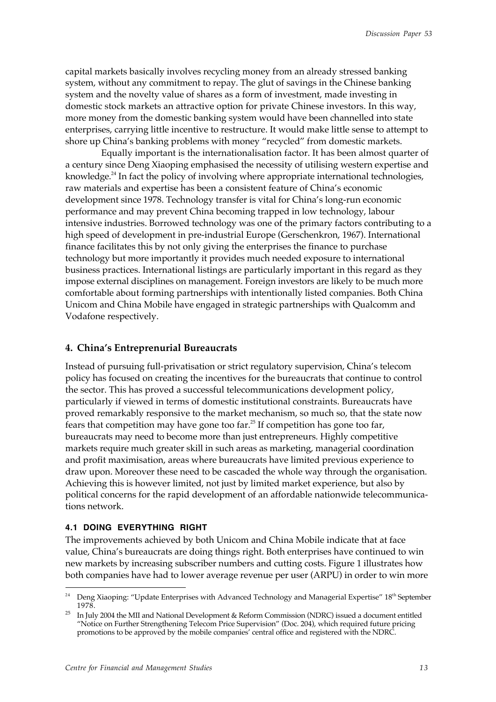capital markets basically involves recycling money from an already stressed banking system, without any commitment to repay. The glut of savings in the Chinese banking system and the novelty value of shares as a form of investment, made investing in domestic stock markets an attractive option for private Chinese investors. In this way, more money from the domestic banking system would have been channelled into state enterprises, carrying little incentive to restructure. It would make little sense to attempt to shore up China's banking problems with money "recycled" from domestic markets.

Equally important is the internationalisation factor. It has been almost quarter of a century since Deng Xiaoping emphasised the necessity of utilising western expertise and knowledge.<sup>24</sup> In fact the policy of involving where appropriate international technologies, raw materials and expertise has been a consistent feature of China's economic development since 1978. Technology transfer is vital for China's long-run economic performance and may prevent China becoming trapped in low technology, labour intensive industries. Borrowed technology was one of the primary factors contributing to a high speed of development in pre-industrial Europe (Gerschenkron, 1967). International finance facilitates this by not only giving the enterprises the finance to purchase technology but more importantly it provides much needed exposure to international business practices. International listings are particularly important in this regard as they impose external disciplines on management. Foreign investors are likely to be much more comfortable about forming partnerships with intentionally listed companies. Both China Unicom and China Mobile have engaged in strategic partnerships with Qualcomm and Vodafone respectively.

#### **4. China's Entreprenurial Bureaucrats**

Instead of pursuing full-privatisation or strict regulatory supervision, China's telecom policy has focused on creating the incentives for the bureaucrats that continue to control the sector. This has proved a successful telecommunications development policy, particularly if viewed in terms of domestic institutional constraints. Bureaucrats have proved remarkably responsive to the market mechanism, so much so, that the state now fears that competition may have gone too far.<sup>25</sup> If competition has gone too far, bureaucrats may need to become more than just entrepreneurs. Highly competitive markets require much greater skill in such areas as marketing, managerial coordination and profit maximisation, areas where bureaucrats have limited previous experience to draw upon. Moreover these need to be cascaded the whole way through the organisation. Achieving this is however limited, not just by limited market experience, but also by political concerns for the rapid development of an affordable nationwide telecommunications network.

### **4.1 DOING EVERYTHING RIGHT**

 $\overline{a}$ 

The improvements achieved by both Unicom and China Mobile indicate that at face value, China's bureaucrats are doing things right. Both enterprises have continued to win new markets by increasing subscriber numbers and cutting costs. Figure 1 illustrates how both companies have had to lower average revenue per user (ARPU) in order to win more

<sup>&</sup>lt;sup>24</sup> Deng Xiaoping: "Update Enterprises with Advanced Technology and Managerial Expertise" 18<sup>th</sup> September 1978.

<sup>25</sup> In July 2004 the MII and National Development & Reform Commission (NDRC) issued a document entitled "Notice on Further Strengthening Telecom Price Supervision" (Doc. 204), which required future pricing promotions to be approved by the mobile companies' central office and registered with the NDRC.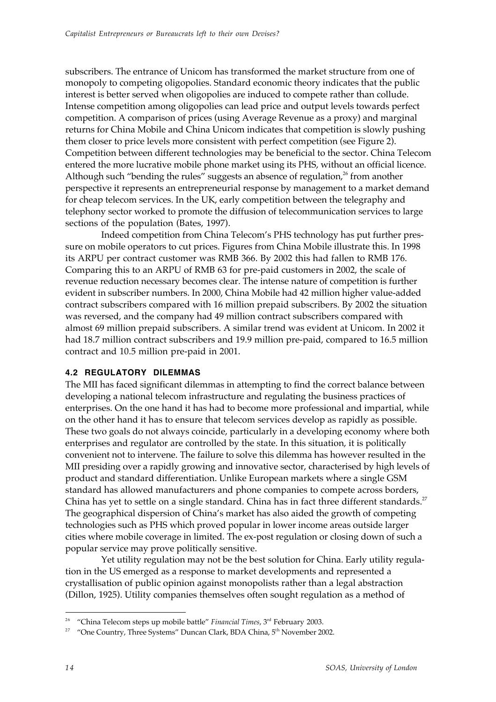subscribers. The entrance of Unicom has transformed the market structure from one of monopoly to competing oligopolies. Standard economic theory indicates that the public interest is better served when oligopolies are induced to compete rather than collude. Intense competition among oligopolies can lead price and output levels towards perfect competition. A comparison of prices (using Average Revenue as a proxy) and marginal returns for China Mobile and China Unicom indicates that competition is slowly pushing them closer to price levels more consistent with perfect competition (see Figure 2). Competition between different technologies may be beneficial to the sector. China Telecom entered the more lucrative mobile phone market using its PHS, without an official licence. Although such "bending the rules" suggests an absence of regulation, $26$  from another perspective it represents an entrepreneurial response by management to a market demand for cheap telecom services. In the UK, early competition between the telegraphy and telephony sector worked to promote the diffusion of telecommunication services to large sections of the population (Bates, 1997).

Indeed competition from China Telecom's PHS technology has put further pressure on mobile operators to cut prices. Figures from China Mobile illustrate this. In 1998 its ARPU per contract customer was RMB 366. By 2002 this had fallen to RMB 176. Comparing this to an ARPU of RMB 63 for pre-paid customers in 2002, the scale of revenue reduction necessary becomes clear. The intense nature of competition is further evident in subscriber numbers. In 2000, China Mobile had 42 million higher value-added contract subscribers compared with 16 million prepaid subscribers. By 2002 the situation was reversed, and the company had 49 million contract subscribers compared with almost 69 million prepaid subscribers. A similar trend was evident at Unicom. In 2002 it had 18.7 million contract subscribers and 19.9 million pre-paid, compared to 16.5 million contract and 10.5 million pre-paid in 2001.

### **4.2 REGULATORY DILEMMAS**

The MII has faced significant dilemmas in attempting to find the correct balance between developing a national telecom infrastructure and regulating the business practices of enterprises. On the one hand it has had to become more professional and impartial, while on the other hand it has to ensure that telecom services develop as rapidly as possible. These two goals do not always coincide, particularly in a developing economy where both enterprises and regulator are controlled by the state. In this situation, it is politically convenient not to intervene. The failure to solve this dilemma has however resulted in the MII presiding over a rapidly growing and innovative sector, characterised by high levels of product and standard differentiation. Unlike European markets where a single GSM standard has allowed manufacturers and phone companies to compete across borders, China has yet to settle on a single standard. China has in fact three different standards.<sup>27</sup> The geographical dispersion of China's market has also aided the growth of competing technologies such as PHS which proved popular in lower income areas outside larger cities where mobile coverage in limited. The ex-post regulation or closing down of such a popular service may prove politically sensitive.

Yet utility regulation may not be the best solution for China. Early utility regulation in the US emerged as a response to market developments and represented a crystallisation of public opinion against monopolists rather than a legal abstraction (Dillon, 1925). Utility companies themselves often sought regulation as a method of

<sup>&</sup>lt;sup>26</sup> "China Telecom steps up mobile battle" *Financial Times*, 3<sup>rd</sup> February 2003.

<sup>&</sup>lt;sup>27</sup> "One Country, Three Systems" Duncan Clark, BDA China, 5<sup>th</sup> November 2002.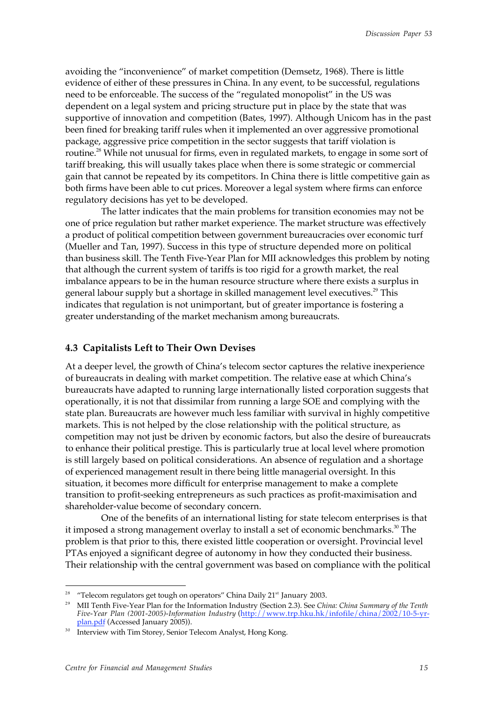avoiding the "inconvenience" of market competition (Demsetz, 1968). There is little evidence of either of these pressures in China. In any event, to be successful, regulations need to be enforceable. The success of the "regulated monopolist" in the US was dependent on a legal system and pricing structure put in place by the state that was supportive of innovation and competition (Bates, 1997). Although Unicom has in the past been fined for breaking tariff rules when it implemented an over aggressive promotional package, aggressive price competition in the sector suggests that tariff violation is routine.<sup>28</sup> While not unusual for firms, even in regulated markets, to engage in some sort of tariff breaking, this will usually takes place when there is some strategic or commercial gain that cannot be repeated by its competitors. In China there is little competitive gain as both firms have been able to cut prices. Moreover a legal system where firms can enforce regulatory decisions has yet to be developed.

The latter indicates that the main problems for transition economies may not be one of price regulation but rather market experience. The market structure was effectively a product of political competition between government bureaucracies over economic turf (Mueller and Tan, 1997). Success in this type of structure depended more on political than business skill. The Tenth Five-Year Plan for MII acknowledges this problem by noting that although the current system of tariffs is too rigid for a growth market, the real imbalance appears to be in the human resource structure where there exists a surplus in general labour supply but a shortage in skilled management level executives.<sup>29</sup> This indicates that regulation is not unimportant, but of greater importance is fostering a greater understanding of the market mechanism among bureaucrats.

#### **4.3 Capitalists Left to Their Own Devises**

At a deeper level, the growth of China's telecom sector captures the relative inexperience of bureaucrats in dealing with market competition. The relative ease at which China's bureaucrats have adapted to running large internationally listed corporation suggests that operationally, it is not that dissimilar from running a large SOE and complying with the state plan. Bureaucrats are however much less familiar with survival in highly competitive markets. This is not helped by the close relationship with the political structure, as competition may not just be driven by economic factors, but also the desire of bureaucrats to enhance their political prestige. This is particularly true at local level where promotion is still largely based on political considerations. An absence of regulation and a shortage of experienced management result in there being little managerial oversight. In this situation, it becomes more difficult for enterprise management to make a complete transition to profit-seeking entrepreneurs as such practices as profit-maximisation and shareholder-value become of secondary concern.

One of the benefits of an international listing for state telecom enterprises is that it imposed a strong management overlay to install a set of economic benchmarks.<sup>30</sup> The problem is that prior to this, there existed little cooperation or oversight. Provincial level PTAs enjoyed a significant degree of autonomy in how they conducted their business. Their relationship with the central government was based on compliance with the political

<sup>&</sup>quot;Telecom regulators get tough on operators" China Daily 21<sup>st</sup> January 2003.

<sup>29</sup> MII Tenth Five-Year Plan for the Information Industry (Section 2.3). See *China: China Summary of the Tenth Five-Year Plan (2001-2005)-Information Industry* (http://www.trp.hku.hk/infofile/china/2002/10-5-yrplan.pdf (Accessed January 2005)).

Interview with Tim Storey, Senior Telecom Analyst, Hong Kong.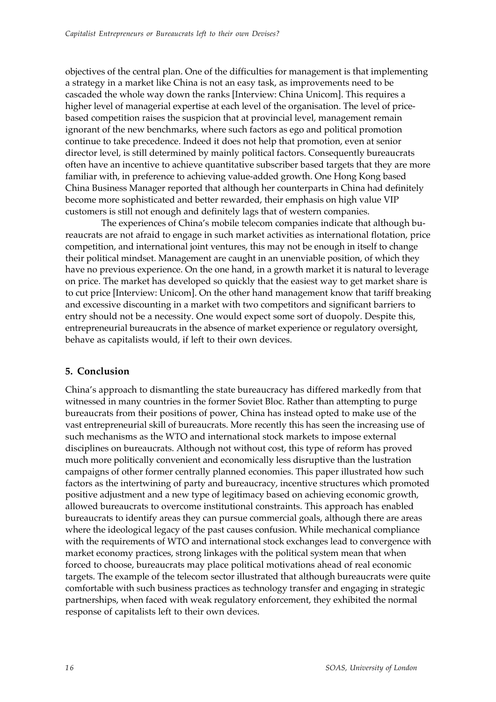objectives of the central plan. One of the difficulties for management is that implementing a strategy in a market like China is not an easy task, as improvements need to be cascaded the whole way down the ranks [Interview: China Unicom]. This requires a higher level of managerial expertise at each level of the organisation. The level of pricebased competition raises the suspicion that at provincial level, management remain ignorant of the new benchmarks, where such factors as ego and political promotion continue to take precedence. Indeed it does not help that promotion, even at senior director level, is still determined by mainly political factors. Consequently bureaucrats often have an incentive to achieve quantitative subscriber based targets that they are more familiar with, in preference to achieving value-added growth. One Hong Kong based China Business Manager reported that although her counterparts in China had definitely become more sophisticated and better rewarded, their emphasis on high value VIP customers is still not enough and definitely lags that of western companies.

The experiences of China's mobile telecom companies indicate that although bureaucrats are not afraid to engage in such market activities as international flotation, price competition, and international joint ventures, this may not be enough in itself to change their political mindset. Management are caught in an unenviable position, of which they have no previous experience. On the one hand, in a growth market it is natural to leverage on price. The market has developed so quickly that the easiest way to get market share is to cut price [Interview: Unicom]. On the other hand management know that tariff breaking and excessive discounting in a market with two competitors and significant barriers to entry should not be a necessity. One would expect some sort of duopoly. Despite this, entrepreneurial bureaucrats in the absence of market experience or regulatory oversight, behave as capitalists would, if left to their own devices.

# **5. Conclusion**

China's approach to dismantling the state bureaucracy has differed markedly from that witnessed in many countries in the former Soviet Bloc. Rather than attempting to purge bureaucrats from their positions of power, China has instead opted to make use of the vast entrepreneurial skill of bureaucrats. More recently this has seen the increasing use of such mechanisms as the WTO and international stock markets to impose external disciplines on bureaucrats. Although not without cost, this type of reform has proved much more politically convenient and economically less disruptive than the lustration campaigns of other former centrally planned economies. This paper illustrated how such factors as the intertwining of party and bureaucracy, incentive structures which promoted positive adjustment and a new type of legitimacy based on achieving economic growth, allowed bureaucrats to overcome institutional constraints. This approach has enabled bureaucrats to identify areas they can pursue commercial goals, although there are areas where the ideological legacy of the past causes confusion. While mechanical compliance with the requirements of WTO and international stock exchanges lead to convergence with market economy practices, strong linkages with the political system mean that when forced to choose, bureaucrats may place political motivations ahead of real economic targets. The example of the telecom sector illustrated that although bureaucrats were quite comfortable with such business practices as technology transfer and engaging in strategic partnerships, when faced with weak regulatory enforcement, they exhibited the normal response of capitalists left to their own devices.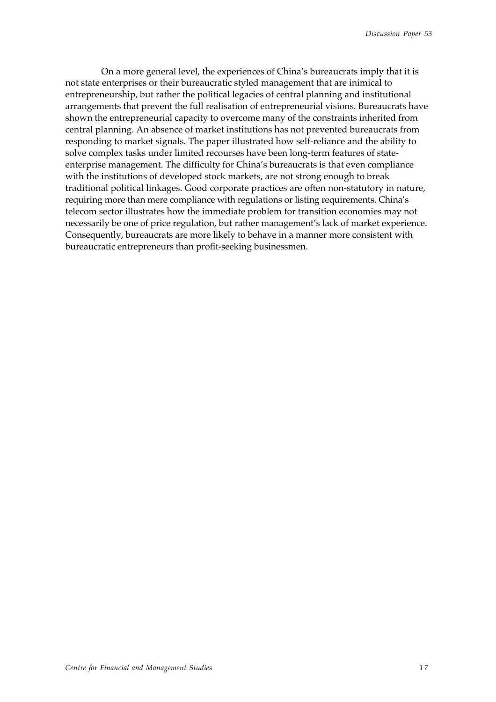On a more general level, the experiences of China's bureaucrats imply that it is not state enterprises or their bureaucratic styled management that are inimical to entrepreneurship, but rather the political legacies of central planning and institutional arrangements that prevent the full realisation of entrepreneurial visions. Bureaucrats have shown the entrepreneurial capacity to overcome many of the constraints inherited from central planning. An absence of market institutions has not prevented bureaucrats from responding to market signals. The paper illustrated how self-reliance and the ability to solve complex tasks under limited recourses have been long-term features of stateenterprise management. The difficulty for China's bureaucrats is that even compliance with the institutions of developed stock markets, are not strong enough to break traditional political linkages. Good corporate practices are often non-statutory in nature, requiring more than mere compliance with regulations or listing requirements. China's telecom sector illustrates how the immediate problem for transition economies may not necessarily be one of price regulation, but rather management's lack of market experience. Consequently, bureaucrats are more likely to behave in a manner more consistent with bureaucratic entrepreneurs than profit-seeking businessmen.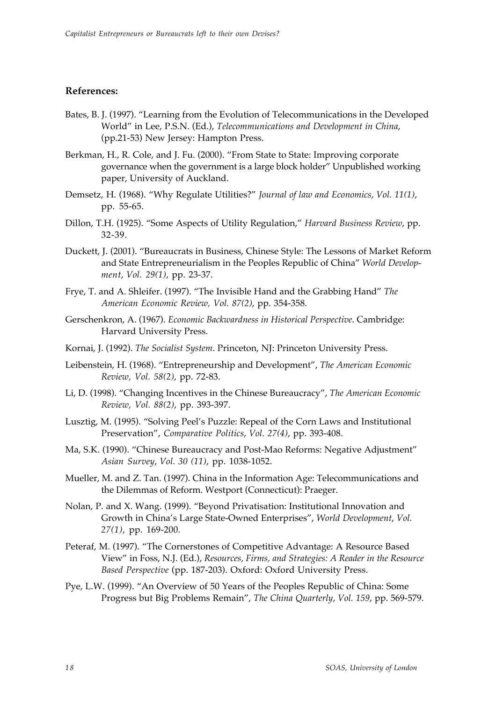### **References:**

- Bates, B. J. (1997). "Learning from the Evolution of Telecommunications in the Developed World" in Lee, P.S.N. (Ed.), *Telecommunications and Development in China*, (pp.21-53) New Jersey: Hampton Press.
- Berkman, H., R. Cole, and J. Fu. (2000). "From State to State: Improving corporate governance when the government is a large block holder" Unpublished working paper, University of Auckland.
- Demsetz, H. (1968). "Why Regulate Utilities?" *Journal of law and Economics*, *Vol. 11(1)*, pp. 55-65.
- Dillon, T.H. (1925). "Some Aspects of Utility Regulation," *Harvard Business Review*, pp. 32-39.
- Duckett, J. (2001). "Bureaucrats in Business, Chinese Style: The Lessons of Market Reform and State Entrepreneurialism in the Peoples Republic of China" *World Development*, *Vol. 29(1)*, pp. 23-37.
- Frye, T. and A. Shleifer. (1997). "The Invisible Hand and the Grabbing Hand" *The American Economic Review, Vol. 87(2)*, pp. 354-358.
- Gerschenkron, A. (1967). *Economic Backwardness in Historical Perspective*. Cambridge: Harvard University Press.
- Kornai, J. (1992). *The Socialist System*. Princeton, NJ: Princeton University Press.
- Leibenstein, H. (1968). "Entrepreneurship and Development", *The American Economic Review, Vol. 58(2)*, pp. 72-83.
- Li, D. (1998). "Changing Incentives in the Chinese Bureaucracy", *The American Economic Review, Vol. 88(2)*, pp. 393-397.
- Lusztig, M. (1995). "Solving Peel's Puzzle: Repeal of the Corn Laws and Institutional Preservation", *Comparative Politics*, *Vol. 27(4)*, pp. 393-408.
- Ma, S.K. (1990). "Chinese Bureaucracy and Post-Mao Reforms: Negative Adjustment" *Asian Survey*, *Vol. 30 (11)*, pp. 1038-1052.
- Mueller, M. and Z. Tan. (1997). China in the Information Age: Telecommunications and the Dilemmas of Reform. Westport (Connecticut): Praeger.
- Nolan, P. and X. Wang. (1999). "Beyond Privatisation: Institutional Innovation and Growth in China's Large State-Owned Enterprises", *World Development*, *Vol. 27(1)*, pp. 169-200.
- Peteraf, M. (1997). "The Cornerstones of Competitive Advantage: A Resource Based View" in Foss, N.J. (Ed.), *Resources, Firms, and Strategies: A Reader in the Resource Based Perspective* (pp. 187-203). Oxford: Oxford University Press.
- Pye, L.W. (1999). "An Overview of 50 Years of the Peoples Republic of China: Some Progress but Big Problems Remain", *The China Quarterly*, *Vol. 159*, pp. 569-579.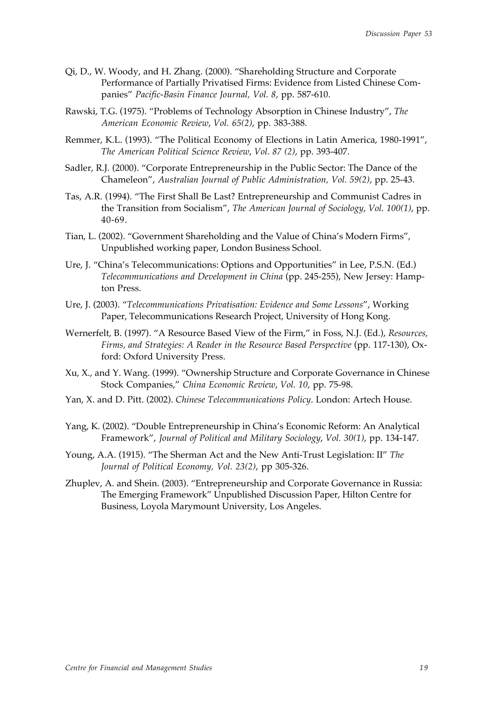- Qi, D., W. Woody, and H. Zhang. (2000). "Shareholding Structure and Corporate Performance of Partially Privatised Firms: Evidence from Listed Chinese Companies" *Pacific-Basin Finance Journal, Vol. 8*, pp. 587-610.
- Rawski, T.G. (1975). "Problems of Technology Absorption in Chinese Industry", *The American Economic Review*, *Vol. 65(2)*, pp. 383-388.
- Remmer, K.L. (1993). "The Political Economy of Elections in Latin America, 1980-1991", *The American Political Science Review*, *Vol. 87 (2)*, pp. 393-407.
- Sadler, R.J. (2000). "Corporate Entrepreneurship in the Public Sector: The Dance of the Chameleon", *Australian Journal of Public Administration, Vol. 59(2)*, pp. 25-43.
- Tas, A.R. (1994). "The First Shall Be Last? Entrepreneurship and Communist Cadres in the Transition from Socialism", *The American Journal of Sociology*, *Vol. 100(1)*, pp. 40-69.
- Tian, L. (2002). "Government Shareholding and the Value of China's Modern Firms", Unpublished working paper, London Business School.
- Ure, J. "China's Telecommunications: Options and Opportunities" in Lee, P.S.N. (Ed.) *Telecommunications and Development in China* (pp. 245-255), New Jersey: Hampton Press.
- Ure, J. (2003). "*Telecommunications Privatisation: Evidence and Some Lessons*", Working Paper, Telecommunications Research Project, University of Hong Kong.
- Wernerfelt, B. (1997). "A Resource Based View of the Firm," in Foss, N.J. (Ed.), *Resources, Firms, and Strategies: A Reader in the Resource Based Perspective* (pp. 117-130), Oxford: Oxford University Press.
- Xu, X., and Y. Wang. (1999). "Ownership Structure and Corporate Governance in Chinese Stock Companies," *China Economic Review*, *Vol. 10*, pp. 75-98.
- Yan, X. and D. Pitt. (2002). *Chinese Telecommunications Policy*. London: Artech House.
- Yang, K. (2002). "Double Entrepreneurship in China's Economic Reform: An Analytical Framework", *Journal of Political and Military Sociology*, *Vol. 30(1)*, pp. 134-147.
- Young, A.A. (1915). "The Sherman Act and the New Anti-Trust Legislation: II" *The Journal of Political Economy, Vol. 23(2)*, pp 305-326.
- Zhuplev, A. and Shein. (2003). "Entrepreneurship and Corporate Governance in Russia: The Emerging Framework" Unpublished Discussion Paper, Hilton Centre for Business, Loyola Marymount University, Los Angeles.